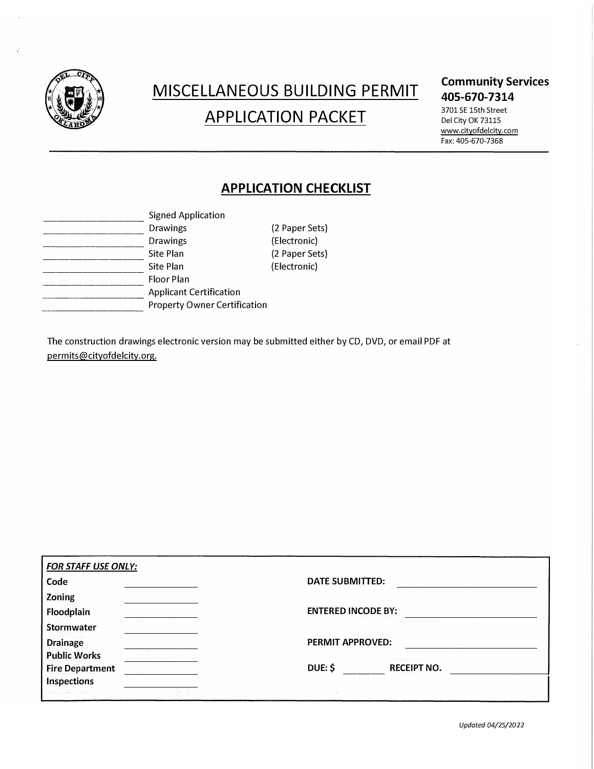

# MISCELLANEOUS BUILDING PERMIT APPLICATION PACKET

### **Community Services 405-670-7314**

3701 SE 15th Street Del City OK 73115 www.cityofdelcity.com Fax: 405-670-7368

# **APPLICATION CHECKLIST**

| <b>Signed Application</b>           |              |
|-------------------------------------|--------------|
| <b>Drawings</b>                     | (2 Paper Set |
| <b>Drawings</b>                     | (Electronic) |
| Site Plan                           | (2 Paper Set |
| Site Plan                           | (Electronic) |
| <b>Floor Plan</b>                   |              |
| <b>Applicant Certification</b>      |              |
| <b>Property Owner Certification</b> |              |
|                                     |              |

aper Sets<mark>)</mark><br>ctronic) aper Sets) ctronic)

The construction drawings electronic version may be submitted either by CD, DVD, or email PDF at permits@cityofdelcity.org.

| Code                   | DATE SUBMITTED:               |
|------------------------|-------------------------------|
| Zoning                 |                               |
| Floodplain             | <b>ENTERED INCODE BY:</b>     |
| Stormwater             |                               |
| <b>Drainage</b>        | PERMIT APPROVED:              |
| <b>Public Works</b>    |                               |
| <b>Fire Department</b> | DUE: \$<br><b>RECEIPT NO.</b> |
| <b>Inspections</b>     |                               |
|                        |                               |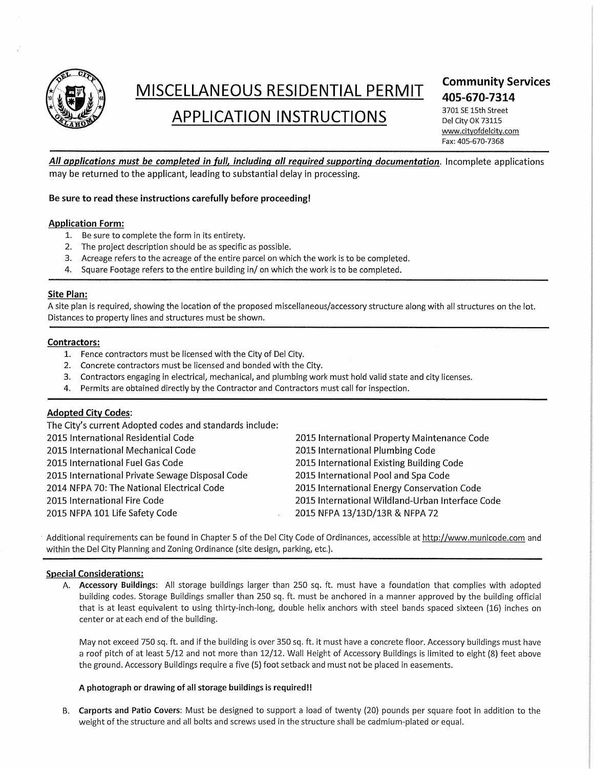

# MISCELLANEOUS RESIDENTIAL PERMIT

# **APPLICATION INSTRUCTIONS**

## **Community Services** 405-670-7314

3701 SE 15th Street Del City OK 73115 www.cityofdelcity.com Fax: 405-670-7368

All applications must be completed in full, including all required supporting documentation. Incomplete applications may be returned to the applicant, leading to substantial delay in processing.

#### Be sure to read these instructions carefully before proceeding!

#### **Application Form:**

- 1. Be sure to complete the form in its entirety.
- 2. The project description should be as specific as possible.
- 3. Acreage refers to the acreage of the entire parcel on which the work is to be completed.
- 4. Square Footage refers to the entire building in/ on which the work is to be completed.

#### **Site Plan:**

A site plan is required, showing the location of the proposed miscellaneous/accessory structure along with all structures on the lot. Distances to property lines and structures must be shown.

#### Contractors:

- 1. Fence contractors must be licensed with the City of Del City.
- 2. Concrete contractors must be licensed and bonded with the City.
- 3. Contractors engaging in electrical, mechanical, and plumbing work must hold valid state and city licenses.
- Permits are obtained directly by the Contractor and Contractors must call for inspection.  $\mathbf{A}$

#### **Adopted City Codes:**

The City's current Adopted codes and standards include: 2015 International Residential Code 2015 International Mechanical Code 2015 International Fuel Gas Code 2015 International Private Sewage Disposal Code 2014 NFPA 70: The National Electrical Code 2015 International Fire Code 2015 NFPA 101 Life Safety Code

2015 International Property Maintenance Code 2015 International Plumbing Code 2015 International Existing Building Code 2015 International Pool and Spa Code 2015 International Energy Conservation Code 2015 International Wildland-Urban Interface Code 2015 NFPA 13/13D/13R & NFPA 72

Additional requirements can be found in Chapter 5 of the Del City Code of Ordinances, accessible at http://www.municode.com and within the Del City Planning and Zoning Ordinance (site design, parking, etc.).

#### **Special Considerations:**

A. Accessory Buildings: All storage buildings larger than 250 sq. ft. must have a foundation that complies with adopted building codes. Storage Buildings smaller than 250 sq. ft. must be anchored in a manner approved by the building official that is at least equivalent to using thirty-inch-long, double helix anchors with steel bands spaced sixteen (16) inches on center or at each end of the building.

May not exceed 750 sq. ft. and if the building is over 350 sq. ft. it must have a concrete floor. Accessory buildings must have a roof pitch of at least 5/12 and not more than 12/12. Wall Height of Accessory Buildings is limited to eight (8) feet above the ground. Accessory Buildings require a five (5) foot setback and must not be placed in easements.

#### A photograph or drawing of all storage buildings is required!!

Carports and Patio Covers: Must be designed to support a load of twenty (20) pounds per square foot in addition to the  $B<sub>1</sub>$ weight of the structure and all bolts and screws used in the structure shall be cadmium-plated or equal.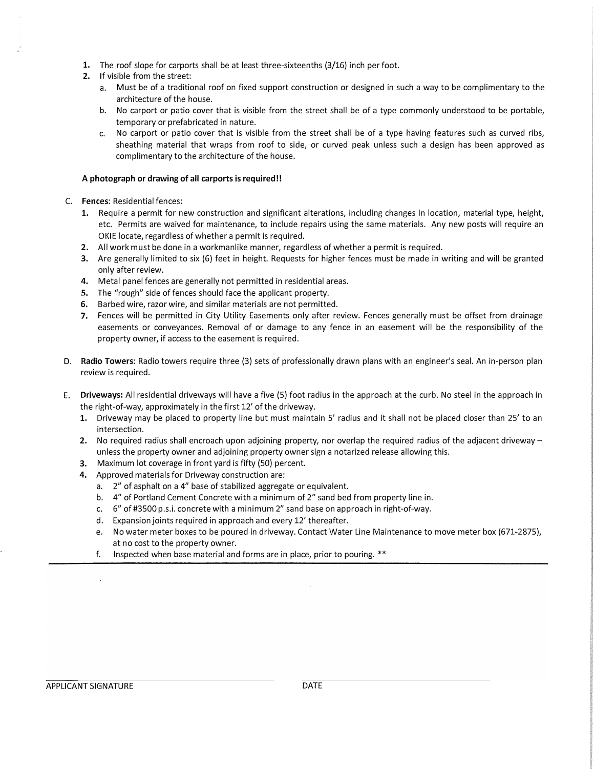- **1.** The roof slope for carports shall be at least three-sixteenths (3/16) inch per foot.
- **2.** If visible from the street:
	- a. Must be of a traditional roof on fixed support construction or designed in such a way to be complimentary to the architecture of the house.
	- b. No carport or patio cover that is visible from the street shall be of a type commonly understood to be portable, temporary or prefabricated in nature.
	- c. No carport or patio cover that is visible from the street shall be of a type having features such as curved ribs, sheathing material that wraps from roof to side, or curved peak unless such a design has been approved as complimentary to the architecture of the house.

#### **A photograph or drawing of all carports is required!!**

- C. **Fences:** Residential fences:
	- **1.** Require a permit for new construction and significant alterations, including changes in location, material type, height, etc. Permits are waived for maintenance, to include repairs using the same materials. Any new posts will require an OKIE locate, regardless of whether a permit is required.
	- **2.** All work must be done in a workmanlike manner, regardless of whether a permit is required.
	- **3.** Are generally limited to six (6) feet in height. Requests for higher fences must be made in writing and will be granted only after review.
	- **4.** Metal panel fences are generally not permitted in residential areas.
	- **5.** The "rough" side of fences should face the applicant property.
	- **6.** Barbed wire, razor wire, and similar materials are not permitted.
	- 7. Fences will be permitted in City Utility Easements only after review. Fences generally must be offset from drainage easements or conveyances. Removal of or damage to any fence in an easement will be the responsibility of the property owner, if access to the easement is required.
- **D. Radio Towers:** Radio towers require three (3) sets of professionally drawn plans with an engineer's seal. An in-person plan review is required.
- E. **Driveways:** All residential driveways will have a five (5) foot radius in the approach at the curb. No steel in the approach in the right-of-way, approximately in the first 12' of the driveway.
	- **1.** Driveway may be placed to property line but must maintain 5' radius and it shall not be placed closer than 25' to an intersection.
	- **2.** No required radius shall encroach upon adjoining property, nor overlap the required radius of the adjacent driveway unless the property owner and adjoining property owner sign a notarized release allowing this.
	- **3.** Maximum lot coverage in front yard is fifty (SO) percent.
	- **4.** Approved materials for Driveway construction are:
		- a. 2" of asphalt on a 4" base of stabilized aggregate or equivalent.
		- b. 4" of Portland Cement Concrete with a minimum of 2" sand bed from property line in.
		- c. 6" of #3500 p.s.i. concrete with a minimum 2" sand base on approach in right-of-way.
		- d. Expansion joints required in approach and every 12' thereafter.
		- e. No water meter boxes to be poured in driveway. Contact Water Line Maintenance to move meter box (671-2875), at no cost to the property owner.
		- f. Inspected when base material and forms are in place, prior to pouring. \*\*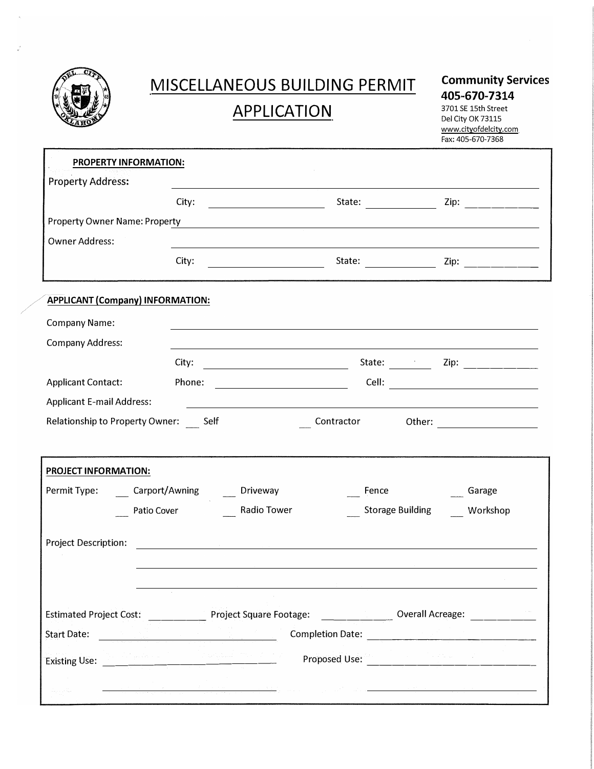

# **MISCELLANEOUS BUILDING PERMIT APPLICATION**

## **Community Services 405-670-7314**

3701 SE 15th Street Del City OK 73115 www.cityofdelcity.com Fax: 405-670-7368

| City:<br><b>Property Owner Name: Property</b><br>and the control of the control of the control of the control of the control of the control of the control of the<br><b>Owner Address:</b><br>City:<br>State: <u>2000 Zip: 2000 Zip: 2000 Zip: 2000 Zip: 2000 Zip: 2000 Zip: 2000 Zip: 2000 Zip: 2000 Zip: 2000 Zip: 2000 Zip: 2000 Zip: 2000 Zip: 2000 Zip: 2000 Zip: 2000 Zip: 2000 Zip: 2000 Zip: 2000 Zip: 2000 Zip: 2000 Zip: 2000</u><br><u> 1980 - Johann Barbara, martin a</u><br><b>APPLICANT (Company) INFORMATION:</b><br>Cell: <b>Cell</b> (2002)<br>Phone:<br>Contractor<br>Carport/Awning<br>__ Driveway<br>Fence<br>Garage<br>Radio Tower<br>Patio Cover<br><b>Storage Building</b><br>Workshop<br><u> 1989 - Johann Stein, mars and de Britain (b. 1989)</u><br><b>Completion Date:</b><br>Proposed Use: | <b>PROPERTY INFORMATION:</b>                       |                                                                                                                                                                                                                                                                                                                                                                                                                                                                                               |  |
|--------------------------------------------------------------------------------------------------------------------------------------------------------------------------------------------------------------------------------------------------------------------------------------------------------------------------------------------------------------------------------------------------------------------------------------------------------------------------------------------------------------------------------------------------------------------------------------------------------------------------------------------------------------------------------------------------------------------------------------------------------------------------------------------------------------------------|----------------------------------------------------|-----------------------------------------------------------------------------------------------------------------------------------------------------------------------------------------------------------------------------------------------------------------------------------------------------------------------------------------------------------------------------------------------------------------------------------------------------------------------------------------------|--|
|                                                                                                                                                                                                                                                                                                                                                                                                                                                                                                                                                                                                                                                                                                                                                                                                                          | <b>Property Address:</b>                           |                                                                                                                                                                                                                                                                                                                                                                                                                                                                                               |  |
|                                                                                                                                                                                                                                                                                                                                                                                                                                                                                                                                                                                                                                                                                                                                                                                                                          |                                                    |                                                                                                                                                                                                                                                                                                                                                                                                                                                                                               |  |
|                                                                                                                                                                                                                                                                                                                                                                                                                                                                                                                                                                                                                                                                                                                                                                                                                          |                                                    |                                                                                                                                                                                                                                                                                                                                                                                                                                                                                               |  |
| <b>Company Name:</b><br><b>Company Address:</b><br><b>Applicant Contact:</b><br><b>Applicant E-mail Address:</b><br>Relationship to Property Owner: Self<br><b>PROJECT INFORMATION:</b><br>Permit Type:<br><b>Project Description:</b>                                                                                                                                                                                                                                                                                                                                                                                                                                                                                                                                                                                   |                                                    |                                                                                                                                                                                                                                                                                                                                                                                                                                                                                               |  |
|                                                                                                                                                                                                                                                                                                                                                                                                                                                                                                                                                                                                                                                                                                                                                                                                                          |                                                    |                                                                                                                                                                                                                                                                                                                                                                                                                                                                                               |  |
| Estimated Project Cost: Project Square Footage: Costage Coverall Acreage: Coverally Project Cost:<br><b>Start Date:</b>                                                                                                                                                                                                                                                                                                                                                                                                                                                                                                                                                                                                                                                                                                  |                                                    |                                                                                                                                                                                                                                                                                                                                                                                                                                                                                               |  |
|                                                                                                                                                                                                                                                                                                                                                                                                                                                                                                                                                                                                                                                                                                                                                                                                                          |                                                    |                                                                                                                                                                                                                                                                                                                                                                                                                                                                                               |  |
|                                                                                                                                                                                                                                                                                                                                                                                                                                                                                                                                                                                                                                                                                                                                                                                                                          |                                                    |                                                                                                                                                                                                                                                                                                                                                                                                                                                                                               |  |
|                                                                                                                                                                                                                                                                                                                                                                                                                                                                                                                                                                                                                                                                                                                                                                                                                          |                                                    |                                                                                                                                                                                                                                                                                                                                                                                                                                                                                               |  |
|                                                                                                                                                                                                                                                                                                                                                                                                                                                                                                                                                                                                                                                                                                                                                                                                                          |                                                    |                                                                                                                                                                                                                                                                                                                                                                                                                                                                                               |  |
|                                                                                                                                                                                                                                                                                                                                                                                                                                                                                                                                                                                                                                                                                                                                                                                                                          |                                                    |                                                                                                                                                                                                                                                                                                                                                                                                                                                                                               |  |
|                                                                                                                                                                                                                                                                                                                                                                                                                                                                                                                                                                                                                                                                                                                                                                                                                          |                                                    |                                                                                                                                                                                                                                                                                                                                                                                                                                                                                               |  |
|                                                                                                                                                                                                                                                                                                                                                                                                                                                                                                                                                                                                                                                                                                                                                                                                                          |                                                    |                                                                                                                                                                                                                                                                                                                                                                                                                                                                                               |  |
|                                                                                                                                                                                                                                                                                                                                                                                                                                                                                                                                                                                                                                                                                                                                                                                                                          |                                                    |                                                                                                                                                                                                                                                                                                                                                                                                                                                                                               |  |
|                                                                                                                                                                                                                                                                                                                                                                                                                                                                                                                                                                                                                                                                                                                                                                                                                          |                                                    |                                                                                                                                                                                                                                                                                                                                                                                                                                                                                               |  |
|                                                                                                                                                                                                                                                                                                                                                                                                                                                                                                                                                                                                                                                                                                                                                                                                                          |                                                    |                                                                                                                                                                                                                                                                                                                                                                                                                                                                                               |  |
|                                                                                                                                                                                                                                                                                                                                                                                                                                                                                                                                                                                                                                                                                                                                                                                                                          |                                                    |                                                                                                                                                                                                                                                                                                                                                                                                                                                                                               |  |
|                                                                                                                                                                                                                                                                                                                                                                                                                                                                                                                                                                                                                                                                                                                                                                                                                          |                                                    |                                                                                                                                                                                                                                                                                                                                                                                                                                                                                               |  |
|                                                                                                                                                                                                                                                                                                                                                                                                                                                                                                                                                                                                                                                                                                                                                                                                                          |                                                    |                                                                                                                                                                                                                                                                                                                                                                                                                                                                                               |  |
|                                                                                                                                                                                                                                                                                                                                                                                                                                                                                                                                                                                                                                                                                                                                                                                                                          |                                                    |                                                                                                                                                                                                                                                                                                                                                                                                                                                                                               |  |
|                                                                                                                                                                                                                                                                                                                                                                                                                                                                                                                                                                                                                                                                                                                                                                                                                          |                                                    |                                                                                                                                                                                                                                                                                                                                                                                                                                                                                               |  |
|                                                                                                                                                                                                                                                                                                                                                                                                                                                                                                                                                                                                                                                                                                                                                                                                                          |                                                    |                                                                                                                                                                                                                                                                                                                                                                                                                                                                                               |  |
|                                                                                                                                                                                                                                                                                                                                                                                                                                                                                                                                                                                                                                                                                                                                                                                                                          |                                                    |                                                                                                                                                                                                                                                                                                                                                                                                                                                                                               |  |
|                                                                                                                                                                                                                                                                                                                                                                                                                                                                                                                                                                                                                                                                                                                                                                                                                          |                                                    |                                                                                                                                                                                                                                                                                                                                                                                                                                                                                               |  |
|                                                                                                                                                                                                                                                                                                                                                                                                                                                                                                                                                                                                                                                                                                                                                                                                                          |                                                    |                                                                                                                                                                                                                                                                                                                                                                                                                                                                                               |  |
|                                                                                                                                                                                                                                                                                                                                                                                                                                                                                                                                                                                                                                                                                                                                                                                                                          | Apple to the company of the company of the company | $\label{eq:R1} \mathcal{E}_{\frac{\mathcal{E}_{\text{max}}}{\mathcal{E}_{\text{max}}}} = \frac{1}{\mathcal{E}_{\text{max}}}\sum_{\mathcal{E}_{\text{max}}}\frac{1}{\mathcal{E}_{\text{max}}}\sum_{\mathcal{E}_{\text{max}}}\frac{1}{\mathcal{E}_{\text{max}}}\sum_{\mathcal{E}_{\text{max}}}\frac{1}{\mathcal{E}_{\text{max}}}\sum_{\mathcal{E}_{\text{max}}}\frac{1}{\mathcal{E}_{\text{max}}}\sum_{\mathcal{E}_{\text{max}}}\frac{1}{\mathcal{E}_{\text{max}}}\sum_{\mathcal{E}_{\text{max$ |  |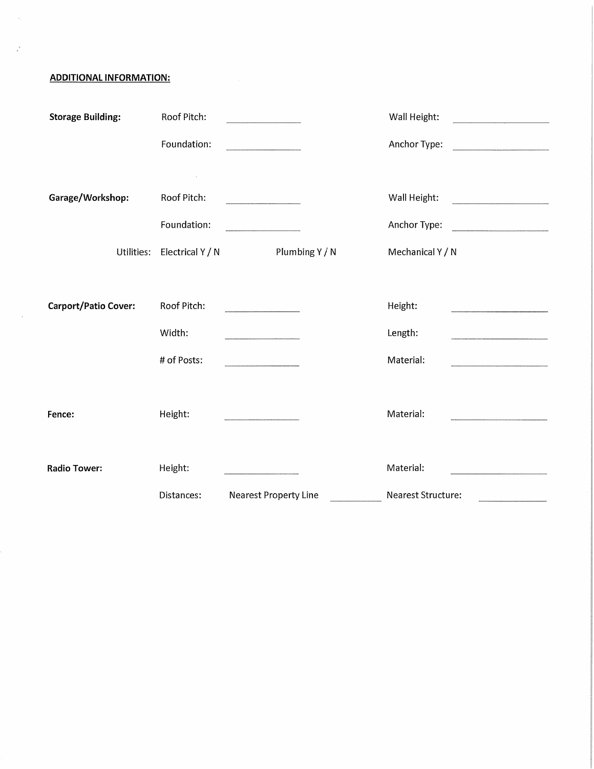**ADDITIONAL INFORMATION:** 

 $\bar{u}_i$ 

 $\frac{d}{\rho}$ 

 $\sim$   $\sim$ 

| <b>Storage Building:</b>    | Roof Pitch:      |                                                   | Wall Height:       |
|-----------------------------|------------------|---------------------------------------------------|--------------------|
|                             | Foundation:      |                                                   | Anchor Type:       |
|                             |                  |                                                   |                    |
| Garage/Workshop:            | Roof Pitch:      |                                                   | Wall Height:       |
|                             | Foundation:      | and the company of the                            | Anchor Type:       |
| Utilities:                  | Electrical Y / N | Plumbing Y / N                                    | Mechanical Y / N   |
|                             |                  |                                                   |                    |
| <b>Carport/Patio Cover:</b> | Roof Pitch:      |                                                   | Height:            |
|                             | Width:           |                                                   | Length:            |
|                             | # of Posts:      | <u> 1980 - Johann Barnett, fransk politiker (</u> | Material:          |
|                             |                  |                                                   |                    |
| Fence:                      | Height:          |                                                   | Material:          |
| <b>Radio Tower:</b>         | Height:          |                                                   | Material:          |
|                             | Distances:       | <b>Nearest Property Line</b>                      | Nearest Structure: |
|                             |                  |                                                   |                    |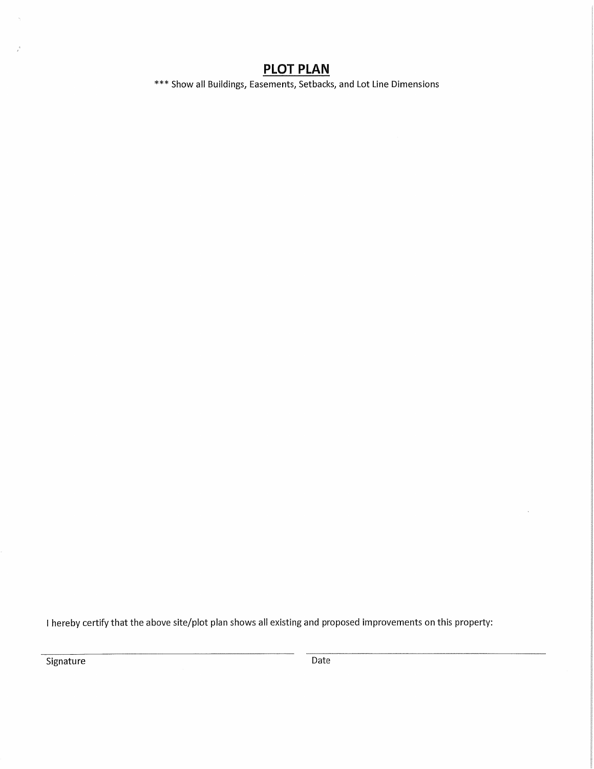# **PLOT PLAN**

\*\*\* Show all Buildings, Easements, Setbacks, and Lot Line Dimensions

I hereby certify that the above site/plot plan shows all existing and proposed improvements on this property:

Signature